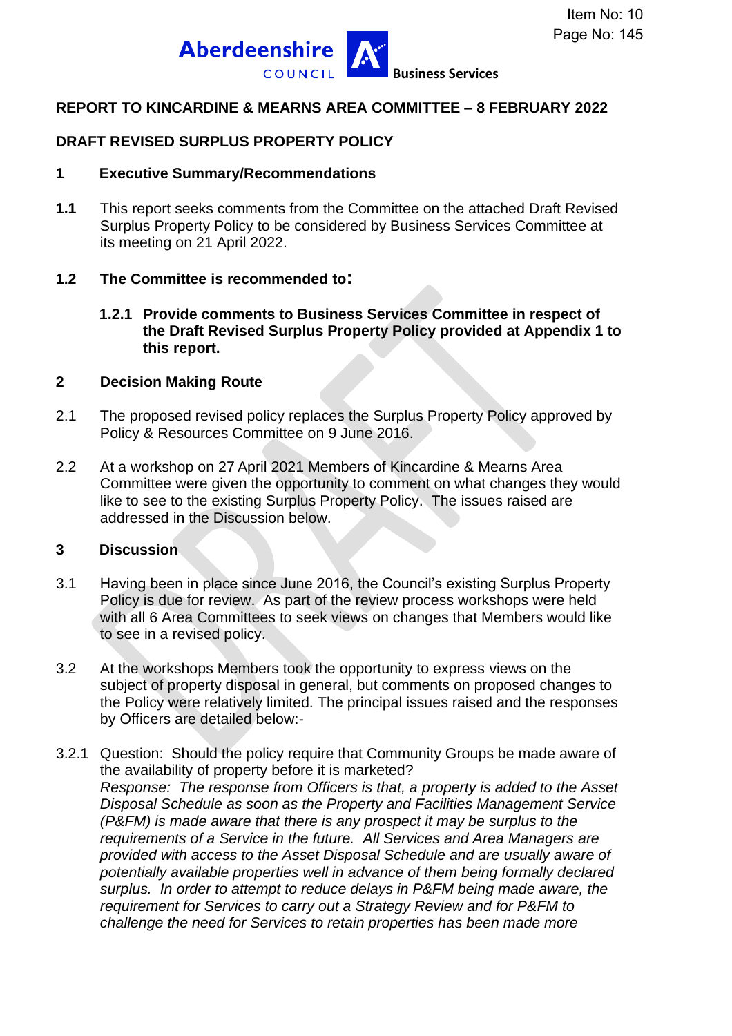

#### **REPORT TO KINCARDINE & MEARNS AREA COMMITTEE – 8 FEBRUARY 2022**

### **DRAFT REVISED SURPLUS PROPERTY POLICY**

#### **1 Executive Summary/Recommendations**

**1.1** This report seeks comments from the Committee on the attached Draft Revised Surplus Property Policy to be considered by Business Services Committee at its meeting on 21 April 2022.

#### **1.2 The Committee is recommended to:**

**1.2.1 Provide comments to Business Services Committee in respect of the Draft Revised Surplus Property Policy provided at Appendix 1 to this report.**

#### **2 Decision Making Route**

- 2.1 The proposed revised policy replaces the Surplus Property Policy approved by Policy & Resources Committee on 9 June 2016.
- 2.2 At a workshop on 27 April 2021 Members of Kincardine & Mearns Area Committee were given the opportunity to comment on what changes they would like to see to the existing Surplus Property Policy. The issues raised are addressed in the Discussion below.

#### **3 Discussion**

- 3.1 Having been in place since June 2016, the Council's existing Surplus Property Policy is due for review. As part of the review process workshops were held with all 6 Area Committees to seek views on changes that Members would like to see in a revised policy.
- 3.2 At the workshops Members took the opportunity to express views on the subject of property disposal in general, but comments on proposed changes to the Policy were relatively limited. The principal issues raised and the responses by Officers are detailed below:-
- 3.2.1 Question: Should the policy require that Community Groups be made aware of the availability of property before it is marketed? *Response: The response from Officers is that, a property is added to the Asset Disposal Schedule as soon as the Property and Facilities Management Service (P&FM) is made aware that there is any prospect it may be surplus to the requirements of a Service in the future. All Services and Area Managers are provided with access to the Asset Disposal Schedule and are usually aware of potentially available properties well in advance of them being formally declared surplus. In order to attempt to reduce delays in P&FM being made aware, the requirement for Services to carry out a Strategy Review and for P&FM to challenge the need for Services to retain properties has been made more*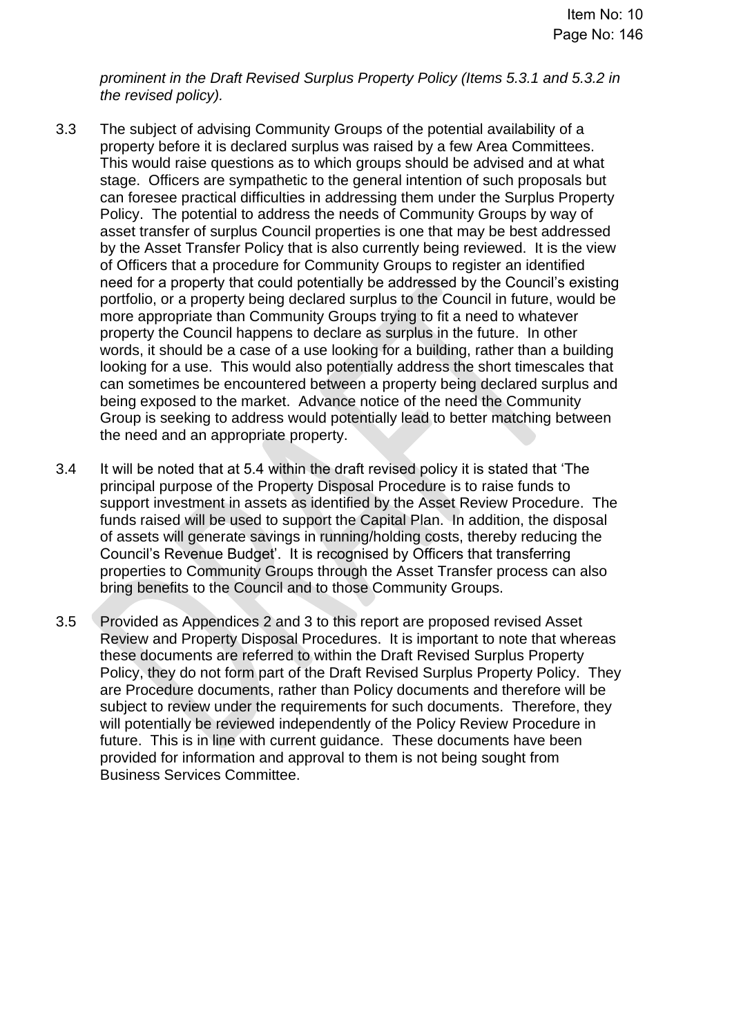*prominent in the Draft Revised Surplus Property Policy (Items 5.3.1 and 5.3.2 in the revised policy).*

- 3.3 The subject of advising Community Groups of the potential availability of a property before it is declared surplus was raised by a few Area Committees. This would raise questions as to which groups should be advised and at what stage. Officers are sympathetic to the general intention of such proposals but can foresee practical difficulties in addressing them under the Surplus Property Policy. The potential to address the needs of Community Groups by way of asset transfer of surplus Council properties is one that may be best addressed by the Asset Transfer Policy that is also currently being reviewed. It is the view of Officers that a procedure for Community Groups to register an identified need for a property that could potentially be addressed by the Council's existing portfolio, or a property being declared surplus to the Council in future, would be more appropriate than Community Groups trying to fit a need to whatever property the Council happens to declare as surplus in the future. In other words, it should be a case of a use looking for a building, rather than a building looking for a use. This would also potentially address the short timescales that can sometimes be encountered between a property being declared surplus and being exposed to the market. Advance notice of the need the Community Group is seeking to address would potentially lead to better matching between the need and an appropriate property.
- 3.4 It will be noted that at 5.4 within the draft revised policy it is stated that 'The principal purpose of the Property Disposal Procedure is to raise funds to support investment in assets as identified by the Asset Review Procedure. The funds raised will be used to support the Capital Plan. In addition, the disposal of assets will generate savings in running/holding costs, thereby reducing the Council's Revenue Budget'. It is recognised by Officers that transferring properties to Community Groups through the Asset Transfer process can also bring benefits to the Council and to those Community Groups.
- 3.5 Provided as Appendices 2 and 3 to this report are proposed revised Asset Review and Property Disposal Procedures. It is important to note that whereas these documents are referred to within the Draft Revised Surplus Property Policy, they do not form part of the Draft Revised Surplus Property Policy. They are Procedure documents, rather than Policy documents and therefore will be subject to review under the requirements for such documents. Therefore, they will potentially be reviewed independently of the Policy Review Procedure in future. This is in line with current guidance. These documents have been provided for information and approval to them is not being sought from Business Services Committee.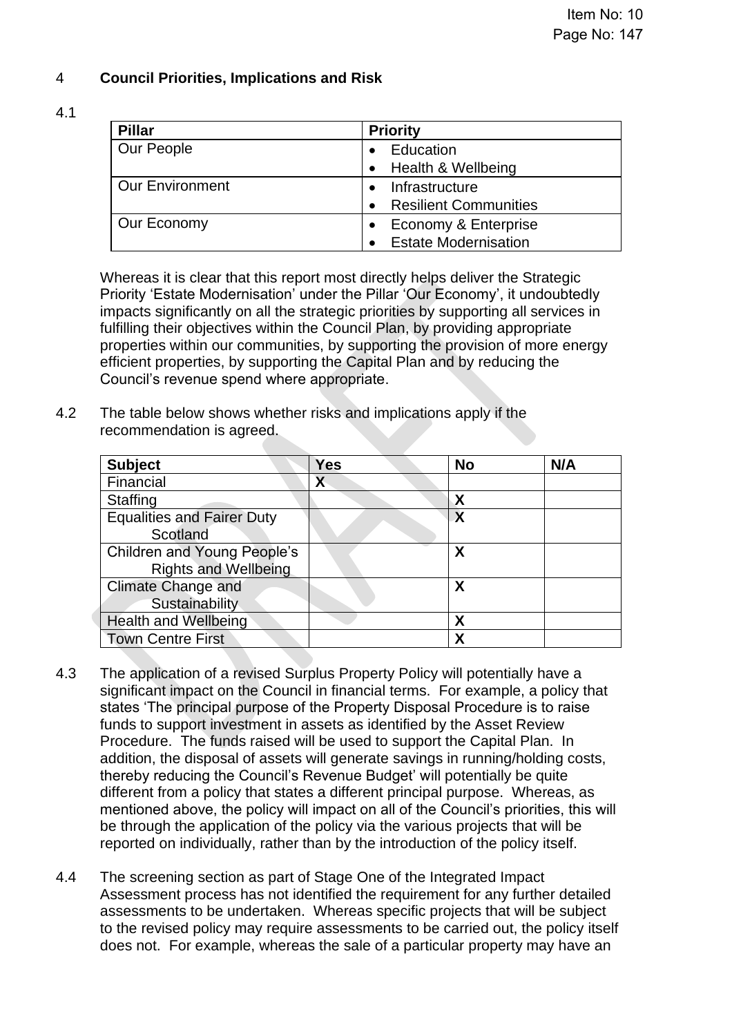# 4 **Council Priorities, Implications and Risk**

#### 4.1

| <b>Pillar</b>          | <b>Priority</b>              |  |
|------------------------|------------------------------|--|
| Our People             | Education                    |  |
|                        | Health & Wellbeing           |  |
| <b>Our Environment</b> | Infrastructure               |  |
|                        | <b>Resilient Communities</b> |  |
| Our Economy            | Economy & Enterprise         |  |
|                        | <b>Estate Modernisation</b>  |  |

Whereas it is clear that this report most directly helps deliver the Strategic Priority 'Estate Modernisation' under the Pillar 'Our Economy', it undoubtedly impacts significantly on all the strategic priorities by supporting all services in fulfilling their objectives within the Council Plan, by providing appropriate properties within our communities, by supporting the provision of more energy efficient properties, by supporting the Capital Plan and by reducing the Council's revenue spend where appropriate.

4.2 The table below shows whether risks and implications apply if the recommendation is agreed.

| <b>Subject</b>                     | Yes | <b>No</b> | N/A |
|------------------------------------|-----|-----------|-----|
| Financial                          | Χ   |           |     |
| <b>Staffing</b>                    |     | Χ         |     |
| <b>Equalities and Fairer Duty</b>  |     | X         |     |
| Scotland                           |     |           |     |
| <b>Children and Young People's</b> |     | χ         |     |
| <b>Rights and Wellbeing</b>        |     |           |     |
| <b>Climate Change and</b>          |     | X         |     |
| Sustainability                     |     |           |     |
| <b>Health and Wellbeing</b>        |     | χ         |     |
| <b>Town Centre First</b>           |     | χ         |     |

- 4.3 The application of a revised Surplus Property Policy will potentially have a significant impact on the Council in financial terms. For example, a policy that states 'The principal purpose of the Property Disposal Procedure is to raise funds to support investment in assets as identified by the Asset Review Procedure. The funds raised will be used to support the Capital Plan. In addition, the disposal of assets will generate savings in running/holding costs, thereby reducing the Council's Revenue Budget' will potentially be quite different from a policy that states a different principal purpose. Whereas, as mentioned above, the policy will impact on all of the Council's priorities, this will be through the application of the policy via the various projects that will be reported on individually, rather than by the introduction of the policy itself.
- 4.4 The screening section as part of Stage One of the Integrated Impact Assessment process has not identified the requirement for any further detailed assessments to be undertaken. Whereas specific projects that will be subject to the revised policy may require assessments to be carried out, the policy itself does not. For example, whereas the sale of a particular property may have an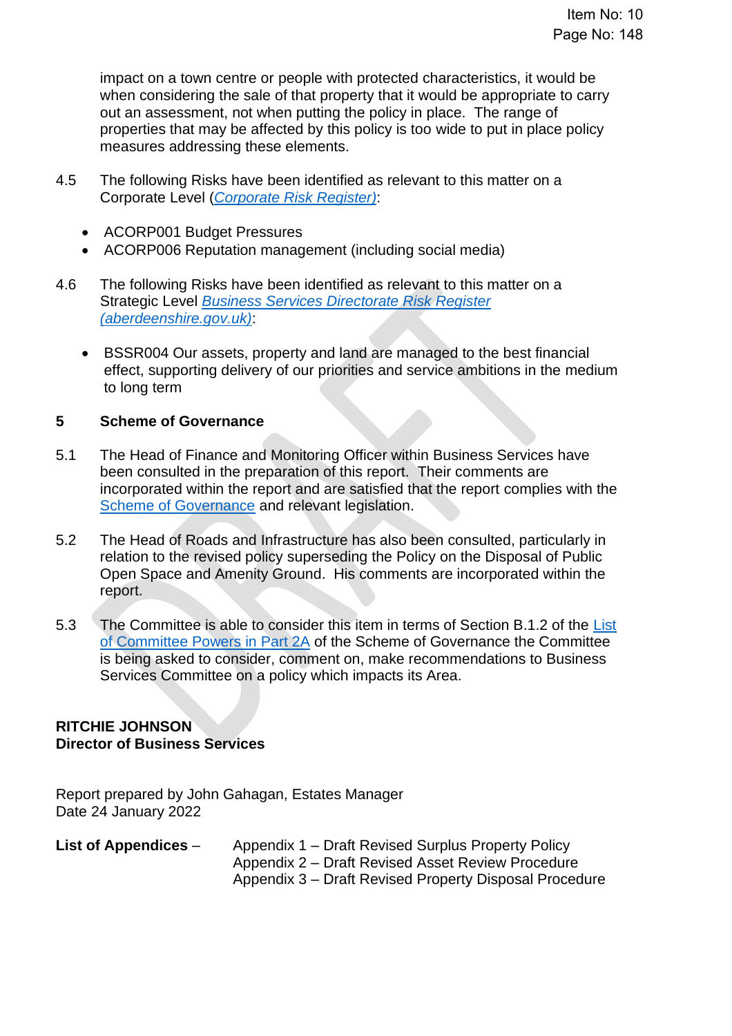impact on a town centre or people with protected characteristics, it would be when considering the sale of that property that it would be appropriate to carry out an assessment, not when putting the policy in place. The range of properties that may be affected by this policy is too wide to put in place policy measures addressing these elements.

- 4.5 The following Risks have been identified as relevant to this matter on a Corporate Level (*[Corporate Risk Register\)](https://www.aberdeenshire.gov.uk/media/26308/corporaterisks.pdf)*:
	- ACORP001 Budget Pressures
	- ACORP006 Reputation management (including social media)
- 4.6 The following Risks have been identified as relevant to this matter on a Strategic Level *[Business Services Directorate Risk Register](https://www.aberdeenshire.gov.uk/media/26309/directoraterisks.pdf)  [\(aberdeenshire.gov.uk\)](https://www.aberdeenshire.gov.uk/media/26309/directoraterisks.pdf)*:
	- BSSR004 Our assets, property and land are managed to the best financial effect, supporting delivery of our priorities and service ambitions in the medium to long term

## **5 Scheme of Governance**

- 5.1 The Head of Finance and Monitoring Officer within Business Services have been consulted in the preparation of this report. Their comments are incorporated within the report and are satisfied that the report complies with the [Scheme of Governance](https://www.aberdeenshire.gov.uk/council-and-democracy/scheme-of-governance/) and relevant legislation.
- 5.2 The Head of Roads and Infrastructure has also been consulted, particularly in relation to the revised policy superseding the Policy on the Disposal of Public Open Space and Amenity Ground. His comments are incorporated within the report.
- 5.3 The Committee is able to consider this item in terms of Section B.1.2 of the List [of Committee Powers in Part 2A](http://publications.aberdeenshire.gov.uk/dataset/c8044f6f-e327-499f-bbc7-94ae9d699559/resource/8d829bb9-95e7-4c83-bc0b-63b76bcba159/download/list-of-committee-powers.pdf) of the Scheme of Governance the Committee is being asked to consider, comment on, make recommendations to Business Services Committee on a policy which impacts its Area.

## **RITCHIE JOHNSON Director of Business Services**

Report prepared by John Gahagan, Estates Manager Date 24 January 2022

**List of Appendices** *–* Appendix 1 – Draft Revised Surplus Property Policy Appendix 2 – Draft Revised Asset Review Procedure Appendix 3 – Draft Revised Property Disposal Procedure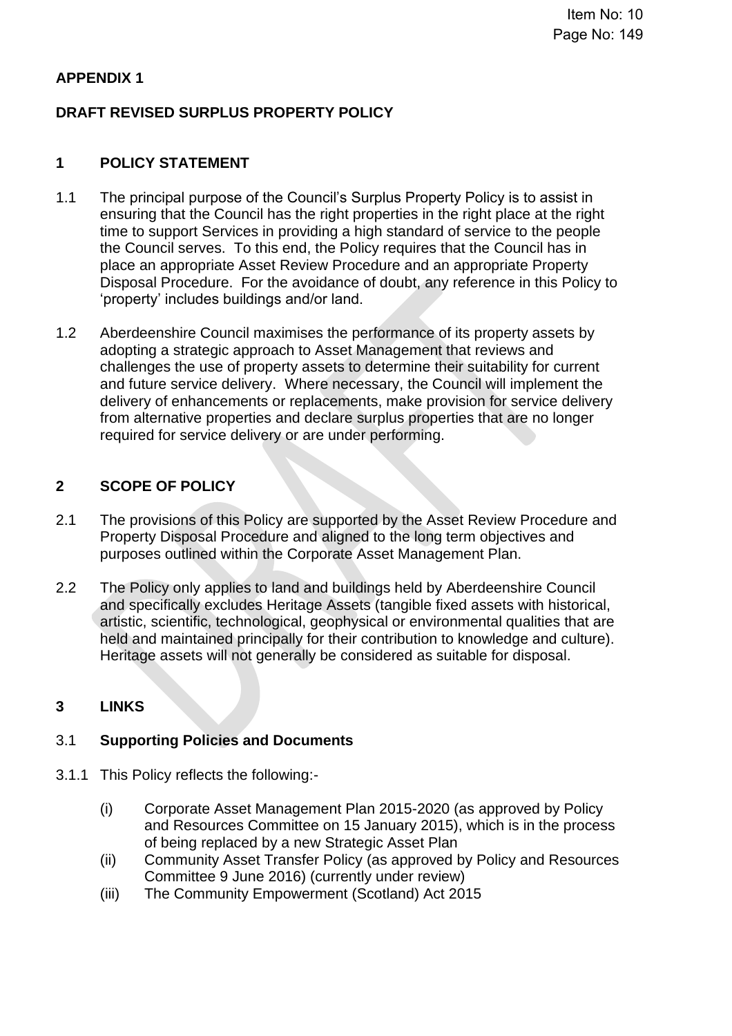# **APPENDIX 1**

# **DRAFT REVISED SURPLUS PROPERTY POLICY**

## **1 POLICY STATEMENT**

- 1.1 The principal purpose of the Council's Surplus Property Policy is to assist in ensuring that the Council has the right properties in the right place at the right time to support Services in providing a high standard of service to the people the Council serves. To this end, the Policy requires that the Council has in place an appropriate Asset Review Procedure and an appropriate Property Disposal Procedure. For the avoidance of doubt, any reference in this Policy to 'property' includes buildings and/or land.
- 1.2 Aberdeenshire Council maximises the performance of its property assets by adopting a strategic approach to Asset Management that reviews and challenges the use of property assets to determine their suitability for current and future service delivery. Where necessary, the Council will implement the delivery of enhancements or replacements, make provision for service delivery from alternative properties and declare surplus properties that are no longer required for service delivery or are under performing.

# **2 SCOPE OF POLICY**

- 2.1 The provisions of this Policy are supported by the Asset Review Procedure and Property Disposal Procedure and aligned to the long term objectives and purposes outlined within the Corporate Asset Management Plan.
- 2.2 The Policy only applies to land and buildings held by Aberdeenshire Council and specifically excludes Heritage Assets (tangible fixed assets with historical, artistic, scientific, technological, geophysical or environmental qualities that are held and maintained principally for their contribution to knowledge and culture). Heritage assets will not generally be considered as suitable for disposal.

## **3 LINKS**

## 3.1 **Supporting Policies and Documents**

- 3.1.1 This Policy reflects the following:-
	- (i) Corporate Asset Management Plan 2015-2020 (as approved by Policy and Resources Committee on 15 January 2015), which is in the process of being replaced by a new Strategic Asset Plan
	- (ii) Community Asset Transfer Policy (as approved by Policy and Resources Committee 9 June 2016) (currently under review)
	- (iii) The Community Empowerment (Scotland) Act 2015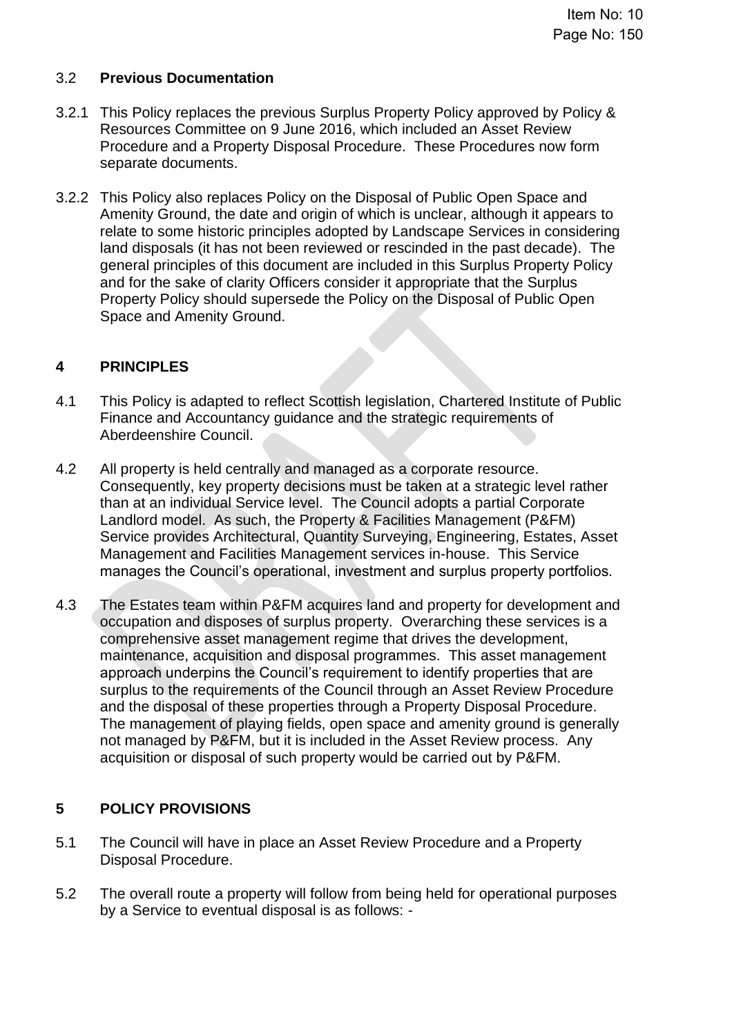## 3.2 **Previous Documentation**

- 3.2.1 This Policy replaces the previous Surplus Property Policy approved by Policy & Resources Committee on 9 June 2016, which included an Asset Review Procedure and a Property Disposal Procedure. These Procedures now form separate documents.
- 3.2.2 This Policy also replaces Policy on the Disposal of Public Open Space and Amenity Ground, the date and origin of which is unclear, although it appears to relate to some historic principles adopted by Landscape Services in considering land disposals (it has not been reviewed or rescinded in the past decade). The general principles of this document are included in this Surplus Property Policy and for the sake of clarity Officers consider it appropriate that the Surplus Property Policy should supersede the Policy on the Disposal of Public Open Space and Amenity Ground.

## **4 PRINCIPLES**

- 4.1 This Policy is adapted to reflect Scottish legislation, Chartered Institute of Public Finance and Accountancy guidance and the strategic requirements of Aberdeenshire Council.
- 4.2 All property is held centrally and managed as a corporate resource. Consequently, key property decisions must be taken at a strategic level rather than at an individual Service level. The Council adopts a partial Corporate Landlord model. As such, the Property & Facilities Management (P&FM) Service provides Architectural, Quantity Surveying, Engineering, Estates, Asset Management and Facilities Management services in-house. This Service manages the Council's operational, investment and surplus property portfolios.
- 4.3 The Estates team within P&FM acquires land and property for development and occupation and disposes of surplus property. Overarching these services is a comprehensive asset management regime that drives the development, maintenance, acquisition and disposal programmes. This asset management approach underpins the Council's requirement to identify properties that are surplus to the requirements of the Council through an Asset Review Procedure and the disposal of these properties through a Property Disposal Procedure. The management of playing fields, open space and amenity ground is generally not managed by P&FM, but it is included in the Asset Review process. Any acquisition or disposal of such property would be carried out by P&FM.

## **5 POLICY PROVISIONS**

- 5.1 The Council will have in place an Asset Review Procedure and a Property Disposal Procedure.
- 5.2 The overall route a property will follow from being held for operational purposes by a Service to eventual disposal is as follows: -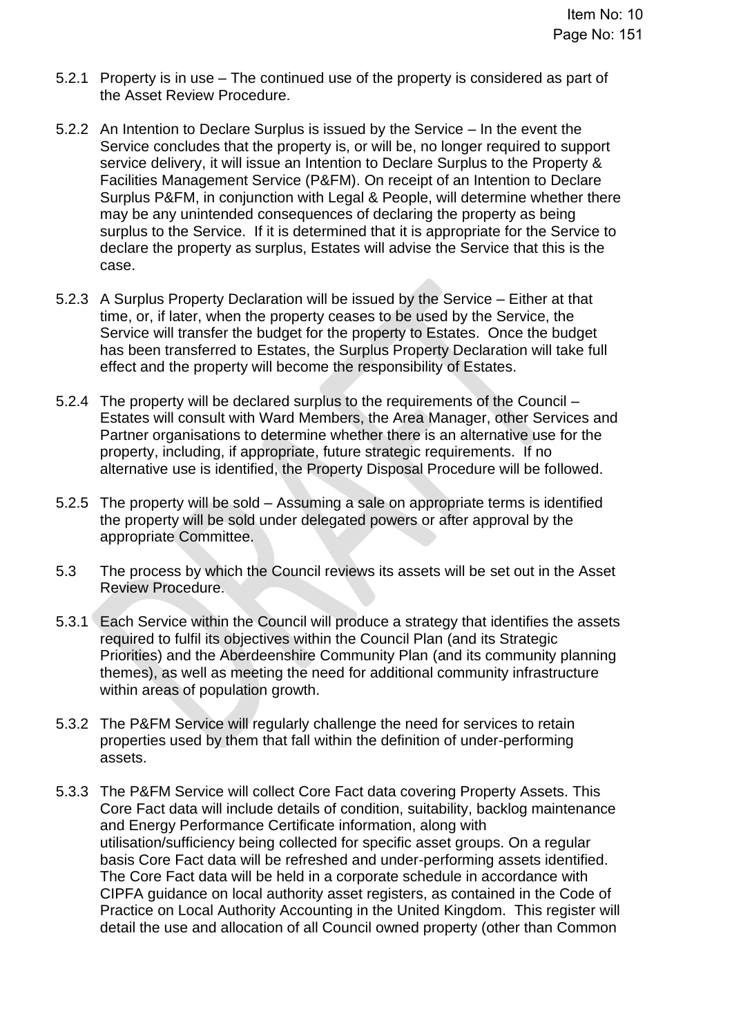- 5.2.1 Property is in use The continued use of the property is considered as part of the Asset Review Procedure.
- 5.2.2 An Intention to Declare Surplus is issued by the Service In the event the Service concludes that the property is, or will be, no longer required to support service delivery, it will issue an Intention to Declare Surplus to the Property & Facilities Management Service (P&FM). On receipt of an Intention to Declare Surplus P&FM, in conjunction with Legal & People, will determine whether there may be any unintended consequences of declaring the property as being surplus to the Service. If it is determined that it is appropriate for the Service to declare the property as surplus, Estates will advise the Service that this is the case.
- 5.2.3 A Surplus Property Declaration will be issued by the Service Either at that time, or, if later, when the property ceases to be used by the Service, the Service will transfer the budget for the property to Estates. Once the budget has been transferred to Estates, the Surplus Property Declaration will take full effect and the property will become the responsibility of Estates.
- 5.2.4 The property will be declared surplus to the requirements of the Council Estates will consult with Ward Members, the Area Manager, other Services and Partner organisations to determine whether there is an alternative use for the property, including, if appropriate, future strategic requirements. If no alternative use is identified, the Property Disposal Procedure will be followed.
- 5.2.5 The property will be sold Assuming a sale on appropriate terms is identified the property will be sold under delegated powers or after approval by the appropriate Committee.
- 5.3 The process by which the Council reviews its assets will be set out in the Asset Review Procedure.
- 5.3.1 Each Service within the Council will produce a strategy that identifies the assets required to fulfil its objectives within the Council Plan (and its Strategic Priorities) and the Aberdeenshire Community Plan (and its community planning themes), as well as meeting the need for additional community infrastructure within areas of population growth.
- 5.3.2 The P&FM Service will regularly challenge the need for services to retain properties used by them that fall within the definition of under-performing assets.
- 5.3.3 The P&FM Service will collect Core Fact data covering Property Assets. This Core Fact data will include details of condition, suitability, backlog maintenance and Energy Performance Certificate information, along with utilisation/sufficiency being collected for specific asset groups. On a regular basis Core Fact data will be refreshed and under-performing assets identified. The Core Fact data will be held in a corporate schedule in accordance with CIPFA guidance on local authority asset registers, as contained in the Code of Practice on Local Authority Accounting in the United Kingdom. This register will detail the use and allocation of all Council owned property (other than Common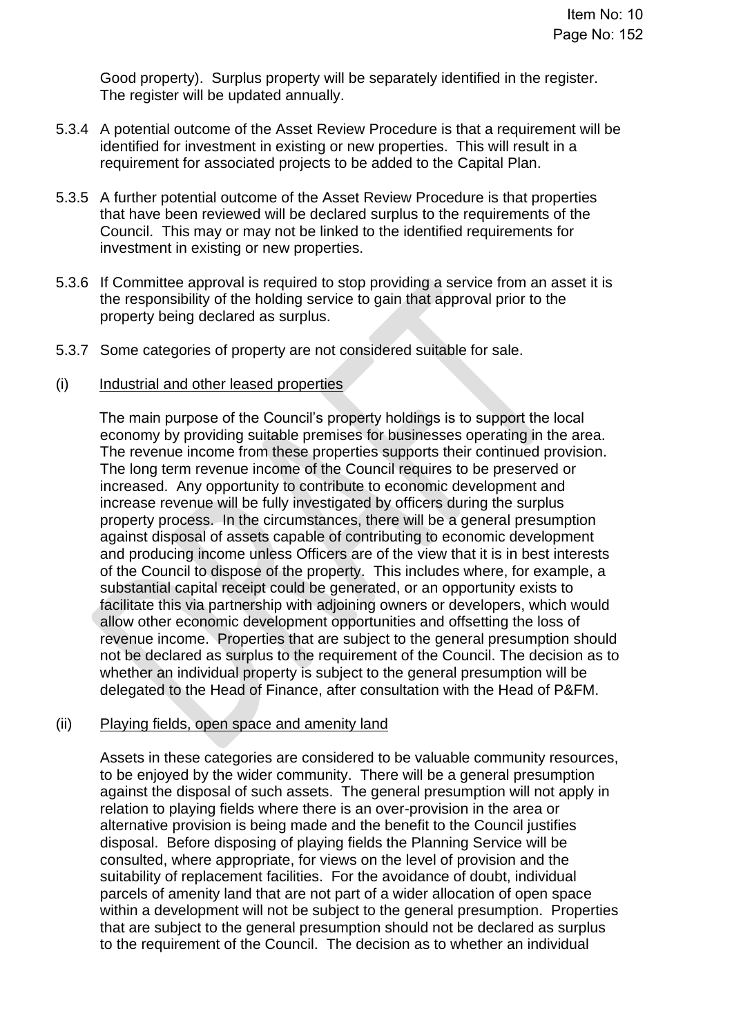Good property). Surplus property will be separately identified in the register. The register will be updated annually.

- 5.3.4 A potential outcome of the Asset Review Procedure is that a requirement will be identified for investment in existing or new properties. This will result in a requirement for associated projects to be added to the Capital Plan.
- 5.3.5 A further potential outcome of the Asset Review Procedure is that properties that have been reviewed will be declared surplus to the requirements of the Council. This may or may not be linked to the identified requirements for investment in existing or new properties.
- 5.3.6 If Committee approval is required to stop providing a service from an asset it is the responsibility of the holding service to gain that approval prior to the property being declared as surplus.
- 5.3.7 Some categories of property are not considered suitable for sale.
- (i) Industrial and other leased properties

The main purpose of the Council's property holdings is to support the local economy by providing suitable premises for businesses operating in the area. The revenue income from these properties supports their continued provision. The long term revenue income of the Council requires to be preserved or increased. Any opportunity to contribute to economic development and increase revenue will be fully investigated by officers during the surplus property process. In the circumstances, there will be a general presumption against disposal of assets capable of contributing to economic development and producing income unless Officers are of the view that it is in best interests of the Council to dispose of the property. This includes where, for example, a substantial capital receipt could be generated, or an opportunity exists to facilitate this via partnership with adjoining owners or developers, which would allow other economic development opportunities and offsetting the loss of revenue income. Properties that are subject to the general presumption should not be declared as surplus to the requirement of the Council. The decision as to whether an individual property is subject to the general presumption will be delegated to the Head of Finance, after consultation with the Head of P&FM.

#### (ii) Playing fields, open space and amenity land

Assets in these categories are considered to be valuable community resources, to be enjoyed by the wider community. There will be a general presumption against the disposal of such assets. The general presumption will not apply in relation to playing fields where there is an over-provision in the area or alternative provision is being made and the benefit to the Council justifies disposal. Before disposing of playing fields the Planning Service will be consulted, where appropriate, for views on the level of provision and the suitability of replacement facilities. For the avoidance of doubt, individual parcels of amenity land that are not part of a wider allocation of open space within a development will not be subject to the general presumption. Properties that are subject to the general presumption should not be declared as surplus to the requirement of the Council. The decision as to whether an individual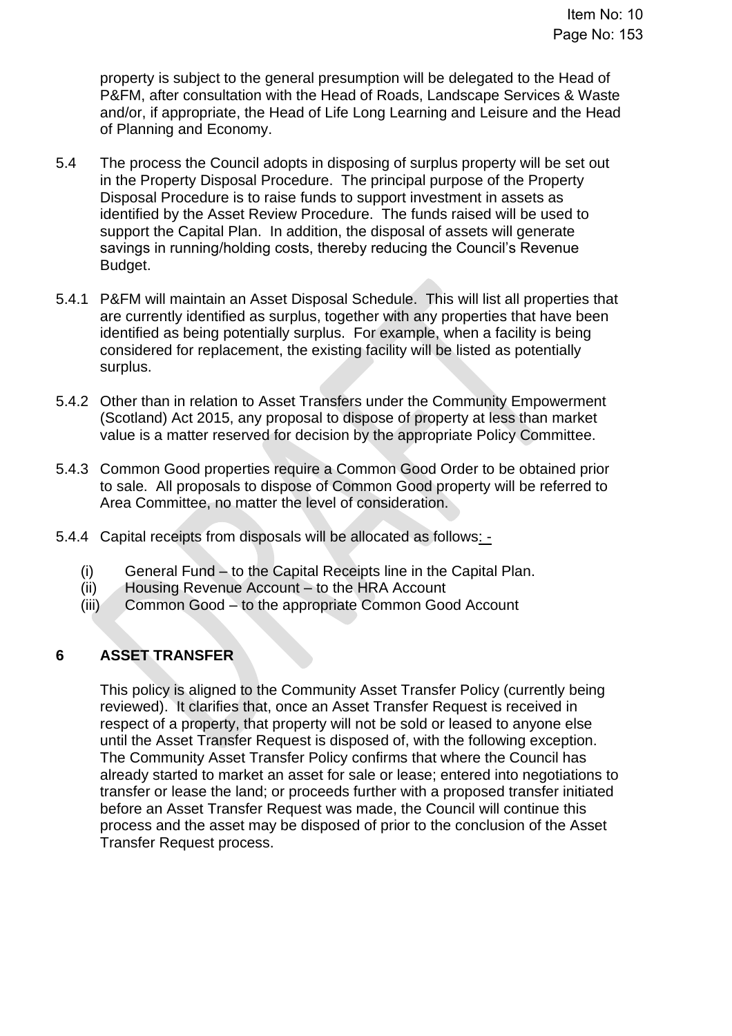property is subject to the general presumption will be delegated to the Head of P&FM, after consultation with the Head of Roads, Landscape Services & Waste and/or, if appropriate, the Head of Life Long Learning and Leisure and the Head of Planning and Economy.

- 5.4 The process the Council adopts in disposing of surplus property will be set out in the Property Disposal Procedure. The principal purpose of the Property Disposal Procedure is to raise funds to support investment in assets as identified by the Asset Review Procedure. The funds raised will be used to support the Capital Plan. In addition, the disposal of assets will generate savings in running/holding costs, thereby reducing the Council's Revenue Budget.
- 5.4.1 P&FM will maintain an Asset Disposal Schedule. This will list all properties that are currently identified as surplus, together with any properties that have been identified as being potentially surplus. For example, when a facility is being considered for replacement, the existing facility will be listed as potentially surplus.
- 5.4.2 Other than in relation to Asset Transfers under the Community Empowerment (Scotland) Act 2015, any proposal to dispose of property at less than market value is a matter reserved for decision by the appropriate Policy Committee.
- 5.4.3 Common Good properties require a Common Good Order to be obtained prior to sale. All proposals to dispose of Common Good property will be referred to Area Committee, no matter the level of consideration.
- 5.4.4 Capital receipts from disposals will be allocated as follows: -
	- (i) General Fund to the Capital Receipts line in the Capital Plan.
	- (ii) Housing Revenue Account to the HRA Account
	- (iii) Common Good to the appropriate Common Good Account

## **6 ASSET TRANSFER**

This policy is aligned to the Community Asset Transfer Policy (currently being reviewed). It clarifies that, once an Asset Transfer Request is received in respect of a property, that property will not be sold or leased to anyone else until the Asset Transfer Request is disposed of, with the following exception. The Community Asset Transfer Policy confirms that where the Council has already started to market an asset for sale or lease; entered into negotiations to transfer or lease the land; or proceeds further with a proposed transfer initiated before an Asset Transfer Request was made, the Council will continue this process and the asset may be disposed of prior to the conclusion of the Asset Transfer Request process.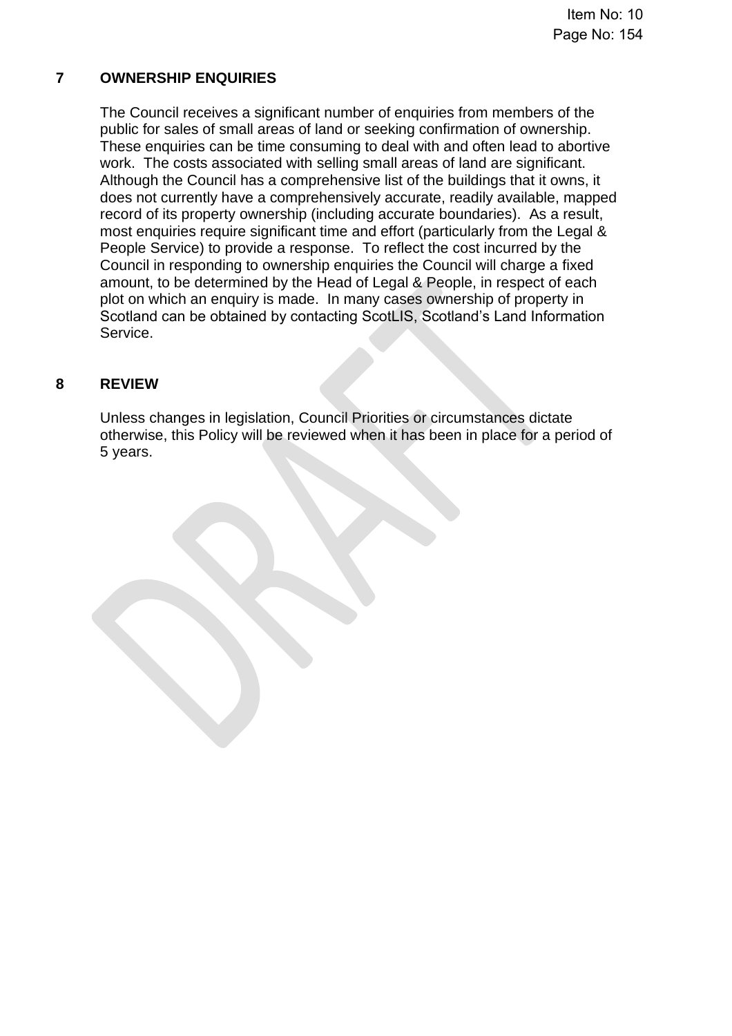# **7 OWNERSHIP ENQUIRIES**

The Council receives a significant number of enquiries from members of the public for sales of small areas of land or seeking confirmation of ownership. These enquiries can be time consuming to deal with and often lead to abortive work. The costs associated with selling small areas of land are significant. Although the Council has a comprehensive list of the buildings that it owns, it does not currently have a comprehensively accurate, readily available, mapped record of its property ownership (including accurate boundaries). As a result, most enquiries require significant time and effort (particularly from the Legal & People Service) to provide a response. To reflect the cost incurred by the Council in responding to ownership enquiries the Council will charge a fixed amount, to be determined by the Head of Legal & People, in respect of each plot on which an enquiry is made. In many cases ownership of property in Scotland can be obtained by contacting ScotLIS, Scotland's Land Information Service.

# **8 REVIEW**

Unless changes in legislation, Council Priorities or circumstances dictate otherwise, this Policy will be reviewed when it has been in place for a period of 5 years.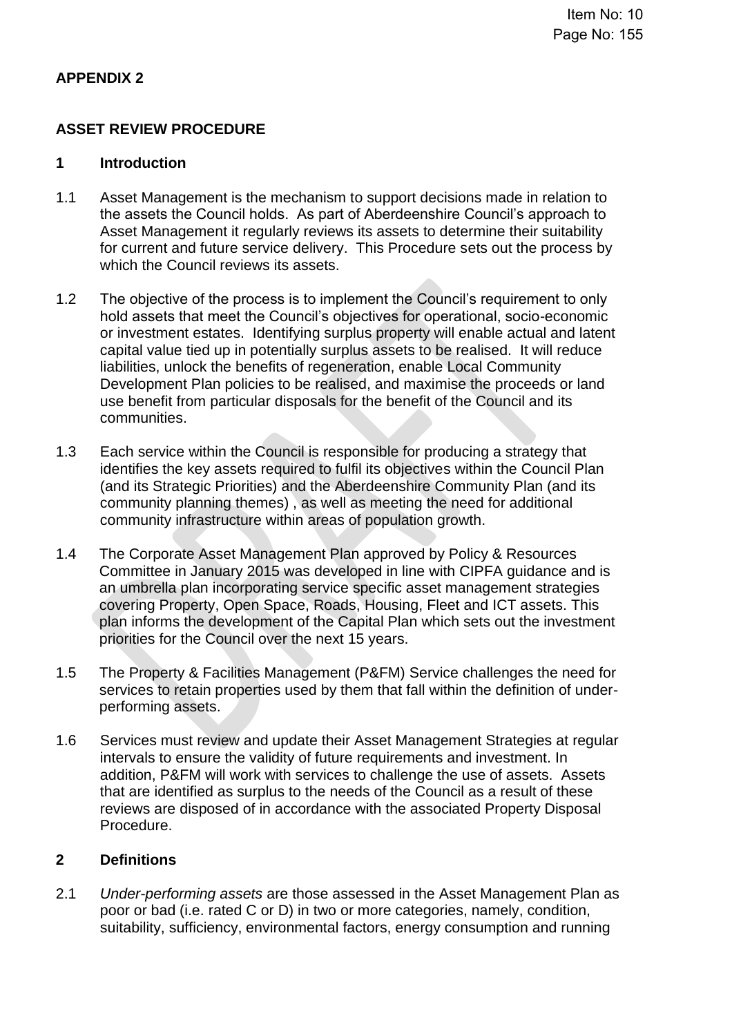# **APPENDIX 2**

# **ASSET REVIEW PROCEDURE**

### **1 Introduction**

- 1.1 Asset Management is the mechanism to support decisions made in relation to the assets the Council holds. As part of Aberdeenshire Council's approach to Asset Management it regularly reviews its assets to determine their suitability for current and future service delivery. This Procedure sets out the process by which the Council reviews its assets.
- 1.2 The objective of the process is to implement the Council's requirement to only hold assets that meet the Council's objectives for operational, socio-economic or investment estates. Identifying surplus property will enable actual and latent capital value tied up in potentially surplus assets to be realised. It will reduce liabilities, unlock the benefits of regeneration, enable Local Community Development Plan policies to be realised, and maximise the proceeds or land use benefit from particular disposals for the benefit of the Council and its communities.
- 1.3 Each service within the Council is responsible for producing a strategy that identifies the key assets required to fulfil its objectives within the Council Plan (and its Strategic Priorities) and the Aberdeenshire Community Plan (and its community planning themes) , as well as meeting the need for additional community infrastructure within areas of population growth.
- 1.4 The Corporate Asset Management Plan approved by Policy & Resources Committee in January 2015 was developed in line with CIPFA guidance and is an umbrella plan incorporating service specific asset management strategies covering Property, Open Space, Roads, Housing, Fleet and ICT assets. This plan informs the development of the Capital Plan which sets out the investment priorities for the Council over the next 15 years.
- 1.5 The Property & Facilities Management (P&FM) Service challenges the need for services to retain properties used by them that fall within the definition of underperforming assets.
- 1.6 Services must review and update their Asset Management Strategies at regular intervals to ensure the validity of future requirements and investment. In addition, P&FM will work with services to challenge the use of assets. Assets that are identified as surplus to the needs of the Council as a result of these reviews are disposed of in accordance with the associated Property Disposal Procedure.

## **2 Definitions**

2.1 *Under-performing assets* are those assessed in the Asset Management Plan as poor or bad (i.e. rated C or D) in two or more categories, namely, condition, suitability, sufficiency, environmental factors, energy consumption and running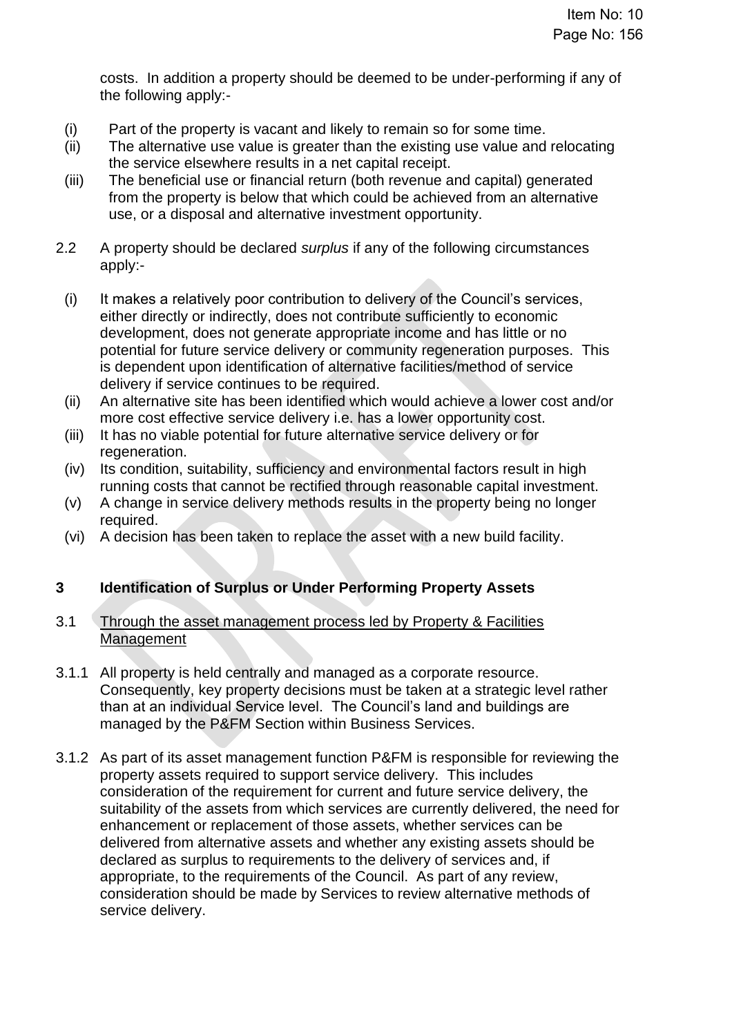costs. In addition a property should be deemed to be under-performing if any of the following apply:-

- (i) Part of the property is vacant and likely to remain so for some time.
- (ii) The alternative use value is greater than the existing use value and relocating the service elsewhere results in a net capital receipt.
- (iii) The beneficial use or financial return (both revenue and capital) generated from the property is below that which could be achieved from an alternative use, or a disposal and alternative investment opportunity.
- 2.2 A property should be declared *surplus* if any of the following circumstances apply:-
	- (i) It makes a relatively poor contribution to delivery of the Council's services, either directly or indirectly, does not contribute sufficiently to economic development, does not generate appropriate income and has little or no potential for future service delivery or community regeneration purposes. This is dependent upon identification of alternative facilities/method of service delivery if service continues to be required.
	- (ii) An alternative site has been identified which would achieve a lower cost and/or more cost effective service delivery i.e. has a lower opportunity cost.
	- (iii) It has no viable potential for future alternative service delivery or for regeneration.
	- (iv) Its condition, suitability, sufficiency and environmental factors result in high running costs that cannot be rectified through reasonable capital investment.
	- (v) A change in service delivery methods results in the property being no longer required.
	- (vi) A decision has been taken to replace the asset with a new build facility.

# **3 Identification of Surplus or Under Performing Property Assets**

## 3.1 Through the asset management process led by Property & Facilities **Management**

- 3.1.1 All property is held centrally and managed as a corporate resource. Consequently, key property decisions must be taken at a strategic level rather than at an individual Service level. The Council's land and buildings are managed by the P&FM Section within Business Services.
- 3.1.2 As part of its asset management function P&FM is responsible for reviewing the property assets required to support service delivery. This includes consideration of the requirement for current and future service delivery, the suitability of the assets from which services are currently delivered, the need for enhancement or replacement of those assets, whether services can be delivered from alternative assets and whether any existing assets should be declared as surplus to requirements to the delivery of services and, if appropriate, to the requirements of the Council. As part of any review, consideration should be made by Services to review alternative methods of service delivery.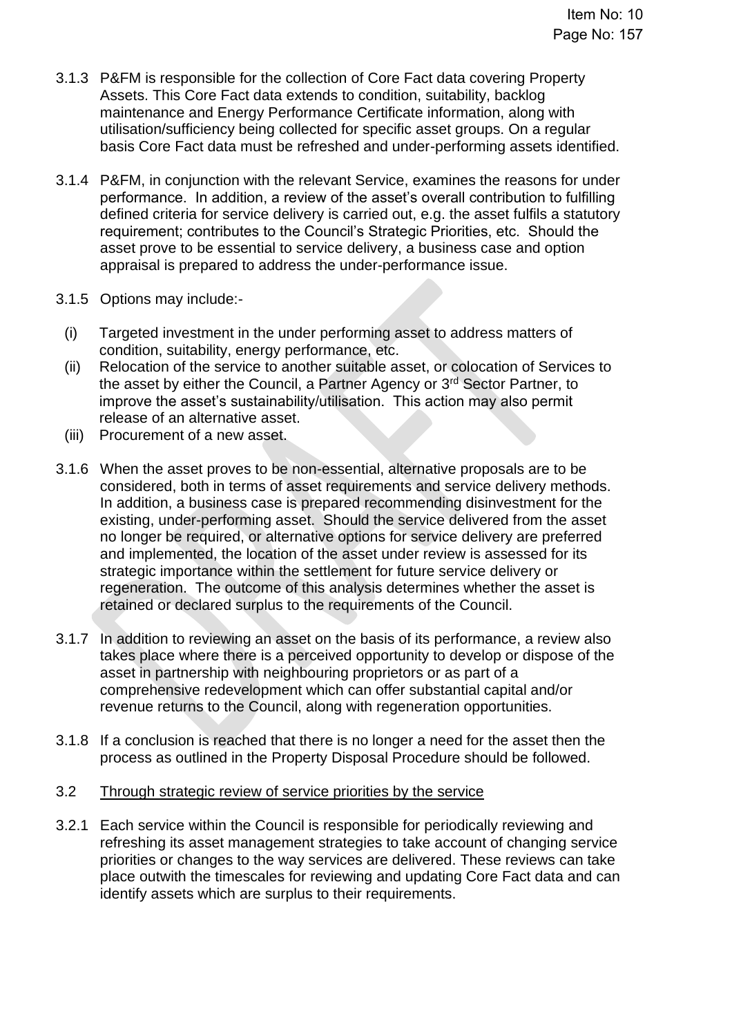- 3.1.3 P&FM is responsible for the collection of Core Fact data covering Property Assets. This Core Fact data extends to condition, suitability, backlog maintenance and Energy Performance Certificate information, along with utilisation/sufficiency being collected for specific asset groups. On a regular basis Core Fact data must be refreshed and under-performing assets identified.
- 3.1.4 P&FM, in conjunction with the relevant Service, examines the reasons for under performance. In addition, a review of the asset's overall contribution to fulfilling defined criteria for service delivery is carried out, e.g. the asset fulfils a statutory requirement; contributes to the Council's Strategic Priorities, etc. Should the asset prove to be essential to service delivery, a business case and option appraisal is prepared to address the under-performance issue.
- 3.1.5 Options may include:-
	- (i) Targeted investment in the under performing asset to address matters of condition, suitability, energy performance, etc.
	- (ii) Relocation of the service to another suitable asset, or colocation of Services to the asset by either the Council, a Partner Agency or 3rd Sector Partner, to improve the asset's sustainability/utilisation. This action may also permit release of an alternative asset.
	- (iii) Procurement of a new asset.
- 3.1.6 When the asset proves to be non-essential, alternative proposals are to be considered, both in terms of asset requirements and service delivery methods. In addition, a business case is prepared recommending disinvestment for the existing, under-performing asset. Should the service delivered from the asset no longer be required, or alternative options for service delivery are preferred and implemented, the location of the asset under review is assessed for its strategic importance within the settlement for future service delivery or regeneration. The outcome of this analysis determines whether the asset is retained or declared surplus to the requirements of the Council.
- 3.1.7 In addition to reviewing an asset on the basis of its performance, a review also takes place where there is a perceived opportunity to develop or dispose of the asset in partnership with neighbouring proprietors or as part of a comprehensive redevelopment which can offer substantial capital and/or revenue returns to the Council, along with regeneration opportunities.
- 3.1.8 If a conclusion is reached that there is no longer a need for the asset then the process as outlined in the Property Disposal Procedure should be followed.
- 3.2 Through strategic review of service priorities by the service
- 3.2.1 Each service within the Council is responsible for periodically reviewing and refreshing its asset management strategies to take account of changing service priorities or changes to the way services are delivered. These reviews can take place outwith the timescales for reviewing and updating Core Fact data and can identify assets which are surplus to their requirements.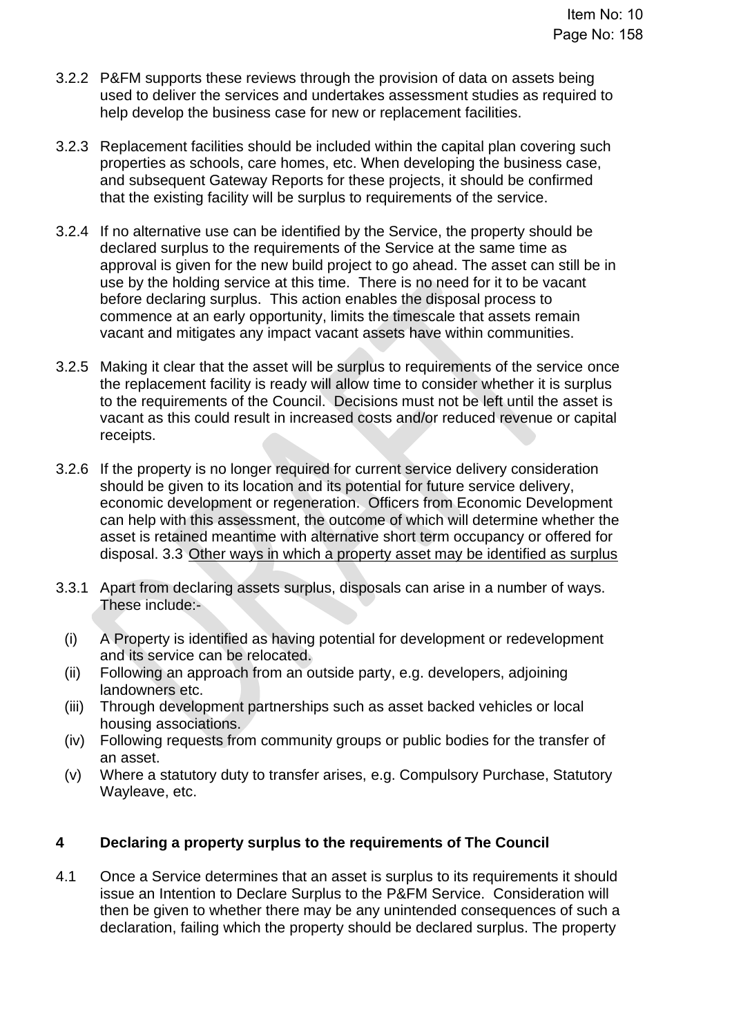- 3.2.2 P&FM supports these reviews through the provision of data on assets being used to deliver the services and undertakes assessment studies as required to help develop the business case for new or replacement facilities.
- 3.2.3 Replacement facilities should be included within the capital plan covering such properties as schools, care homes, etc. When developing the business case, and subsequent Gateway Reports for these projects, it should be confirmed that the existing facility will be surplus to requirements of the service.
- 3.2.4 If no alternative use can be identified by the Service, the property should be declared surplus to the requirements of the Service at the same time as approval is given for the new build project to go ahead. The asset can still be in use by the holding service at this time. There is no need for it to be vacant before declaring surplus. This action enables the disposal process to commence at an early opportunity, limits the timescale that assets remain vacant and mitigates any impact vacant assets have within communities.
- 3.2.5 Making it clear that the asset will be surplus to requirements of the service once the replacement facility is ready will allow time to consider whether it is surplus to the requirements of the Council. Decisions must not be left until the asset is vacant as this could result in increased costs and/or reduced revenue or capital receipts.
- 3.2.6 If the property is no longer required for current service delivery consideration should be given to its location and its potential for future service delivery, economic development or regeneration. Officers from Economic Development can help with this assessment, the outcome of which will determine whether the asset is retained meantime with alternative short term occupancy or offered for disposal. 3.3 Other ways in which a property asset may be identified as surplus
- 3.3.1 Apart from declaring assets surplus, disposals can arise in a number of ways. These include:-
	- (i) A Property is identified as having potential for development or redevelopment and its service can be relocated.
	- (ii) Following an approach from an outside party, e.g. developers, adjoining landowners etc.
	- (iii) Through development partnerships such as asset backed vehicles or local housing associations.
	- (iv) Following requests from community groups or public bodies for the transfer of an asset.
	- (v) Where a statutory duty to transfer arises, e.g. Compulsory Purchase, Statutory Wayleave, etc.

## **4 Declaring a property surplus to the requirements of The Council**

4.1 Once a Service determines that an asset is surplus to its requirements it should issue an Intention to Declare Surplus to the P&FM Service. Consideration will then be given to whether there may be any unintended consequences of such a declaration, failing which the property should be declared surplus. The property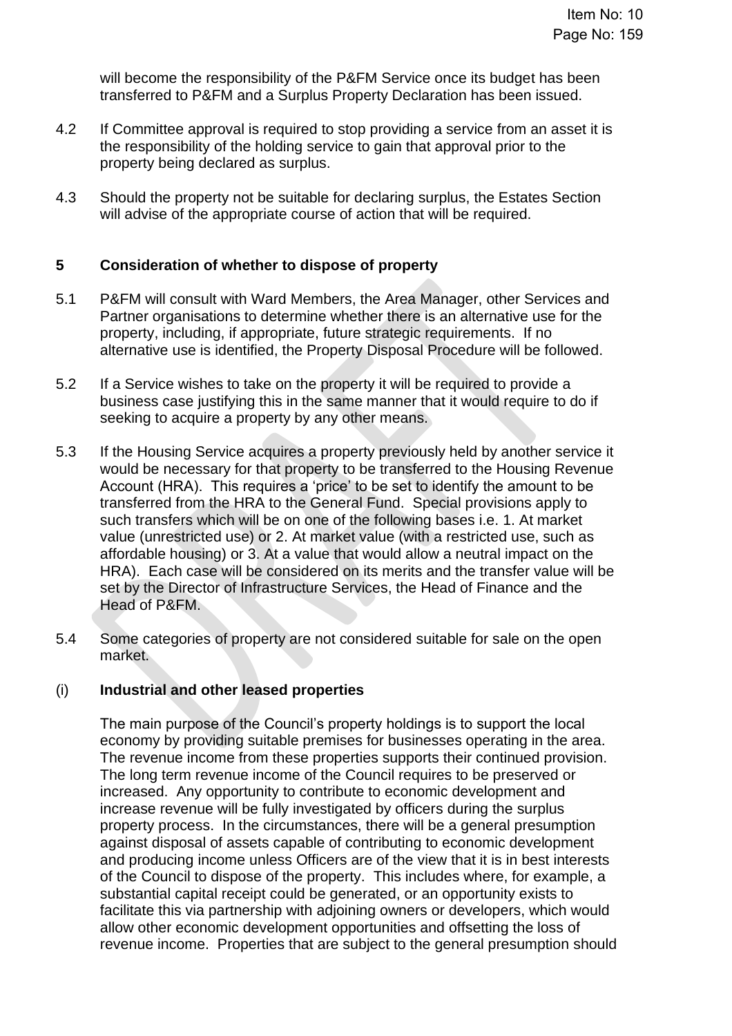will become the responsibility of the P&FM Service once its budget has been transferred to P&FM and a Surplus Property Declaration has been issued.

- 4.2 If Committee approval is required to stop providing a service from an asset it is the responsibility of the holding service to gain that approval prior to the property being declared as surplus.
- 4.3 Should the property not be suitable for declaring surplus, the Estates Section will advise of the appropriate course of action that will be required.

## **5 Consideration of whether to dispose of property**

- 5.1 P&FM will consult with Ward Members, the Area Manager, other Services and Partner organisations to determine whether there is an alternative use for the property, including, if appropriate, future strategic requirements. If no alternative use is identified, the Property Disposal Procedure will be followed.
- 5.2 If a Service wishes to take on the property it will be required to provide a business case justifying this in the same manner that it would require to do if seeking to acquire a property by any other means.
- 5.3 If the Housing Service acquires a property previously held by another service it would be necessary for that property to be transferred to the Housing Revenue Account (HRA). This requires a 'price' to be set to identify the amount to be transferred from the HRA to the General Fund. Special provisions apply to such transfers which will be on one of the following bases i.e. 1. At market value (unrestricted use) or 2. At market value (with a restricted use, such as affordable housing) or 3. At a value that would allow a neutral impact on the HRA). Each case will be considered on its merits and the transfer value will be set by the Director of Infrastructure Services, the Head of Finance and the Head of P&FM.
- 5.4 Some categories of property are not considered suitable for sale on the open market.

#### (i) **Industrial and other leased properties**

The main purpose of the Council's property holdings is to support the local economy by providing suitable premises for businesses operating in the area. The revenue income from these properties supports their continued provision. The long term revenue income of the Council requires to be preserved or increased. Any opportunity to contribute to economic development and increase revenue will be fully investigated by officers during the surplus property process. In the circumstances, there will be a general presumption against disposal of assets capable of contributing to economic development and producing income unless Officers are of the view that it is in best interests of the Council to dispose of the property. This includes where, for example, a substantial capital receipt could be generated, or an opportunity exists to facilitate this via partnership with adjoining owners or developers, which would allow other economic development opportunities and offsetting the loss of revenue income. Properties that are subject to the general presumption should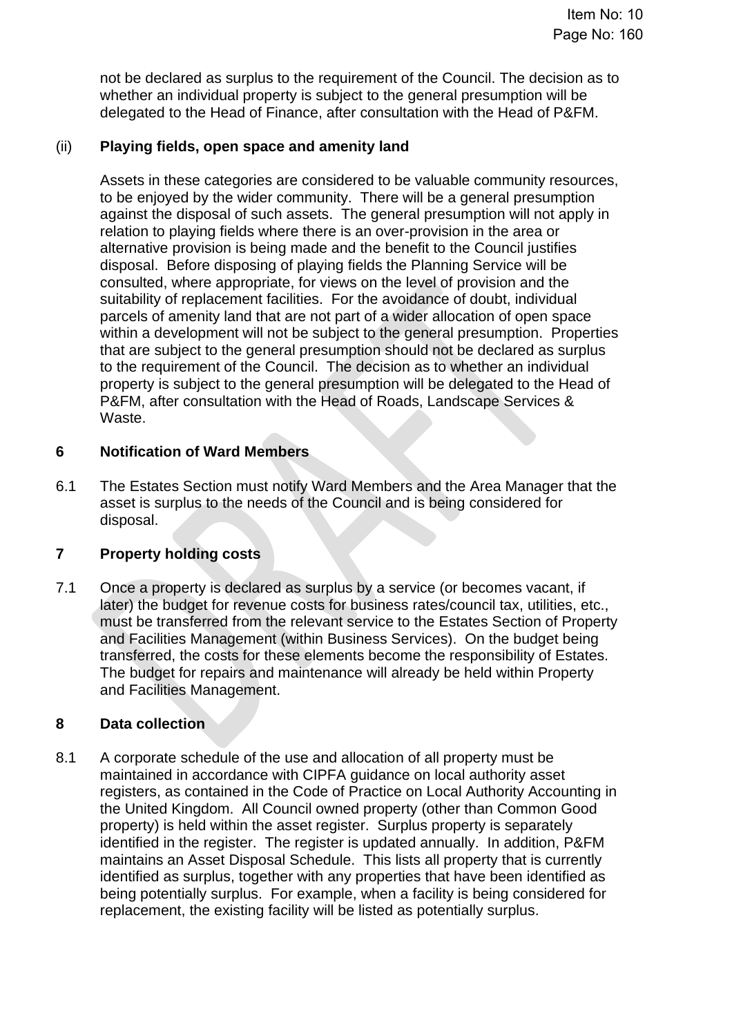not be declared as surplus to the requirement of the Council. The decision as to whether an individual property is subject to the general presumption will be delegated to the Head of Finance, after consultation with the Head of P&FM.

# (ii) **Playing fields, open space and amenity land**

Assets in these categories are considered to be valuable community resources, to be enjoyed by the wider community. There will be a general presumption against the disposal of such assets. The general presumption will not apply in relation to playing fields where there is an over-provision in the area or alternative provision is being made and the benefit to the Council justifies disposal. Before disposing of playing fields the Planning Service will be consulted, where appropriate, for views on the level of provision and the suitability of replacement facilities. For the avoidance of doubt, individual parcels of amenity land that are not part of a wider allocation of open space within a development will not be subject to the general presumption. Properties that are subject to the general presumption should not be declared as surplus to the requirement of the Council. The decision as to whether an individual property is subject to the general presumption will be delegated to the Head of P&FM, after consultation with the Head of Roads, Landscape Services & Waste.

# **6 Notification of Ward Members**

6.1 The Estates Section must notify Ward Members and the Area Manager that the asset is surplus to the needs of the Council and is being considered for disposal.

# **7 Property holding costs**

7.1 Once a property is declared as surplus by a service (or becomes vacant, if later) the budget for revenue costs for business rates/council tax, utilities, etc., must be transferred from the relevant service to the Estates Section of Property and Facilities Management (within Business Services). On the budget being transferred, the costs for these elements become the responsibility of Estates. The budget for repairs and maintenance will already be held within Property and Facilities Management.

## **8 Data collection**

8.1 A corporate schedule of the use and allocation of all property must be maintained in accordance with CIPFA guidance on local authority asset registers, as contained in the Code of Practice on Local Authority Accounting in the United Kingdom. All Council owned property (other than Common Good property) is held within the asset register. Surplus property is separately identified in the register. The register is updated annually. In addition, P&FM maintains an Asset Disposal Schedule. This lists all property that is currently identified as surplus, together with any properties that have been identified as being potentially surplus. For example, when a facility is being considered for replacement, the existing facility will be listed as potentially surplus.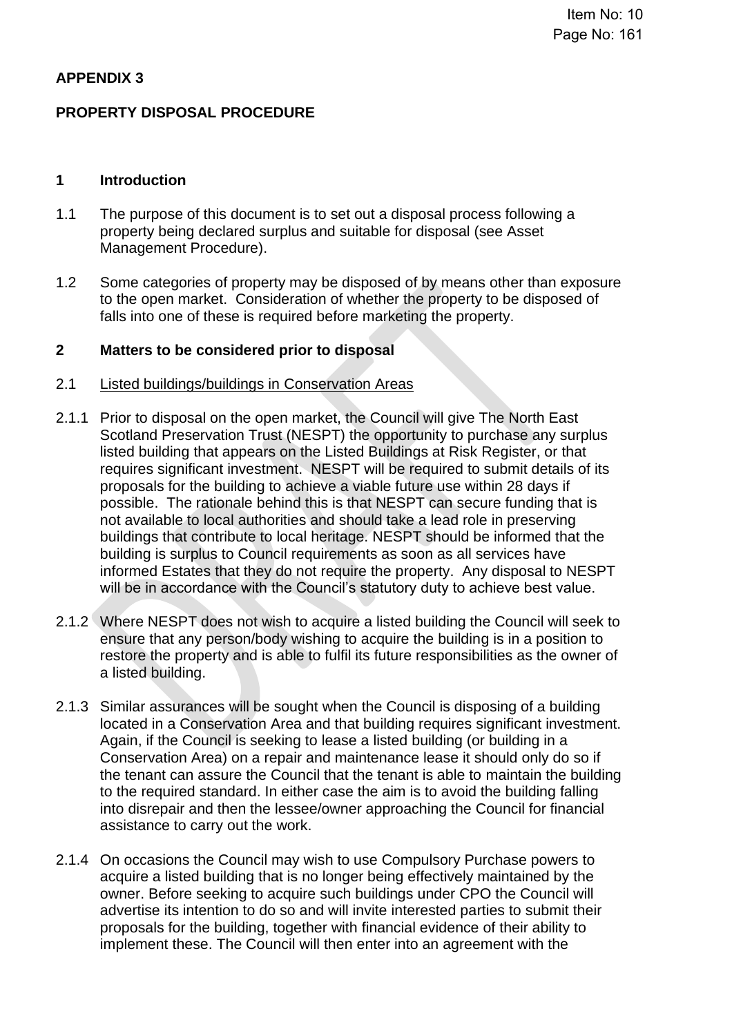## **APPENDIX 3**

## **PROPERTY DISPOSAL PROCEDURE**

#### **1 Introduction**

- 1.1 The purpose of this document is to set out a disposal process following a property being declared surplus and suitable for disposal (see Asset Management Procedure).
- 1.2 Some categories of property may be disposed of by means other than exposure to the open market. Consideration of whether the property to be disposed of falls into one of these is required before marketing the property.

#### **2 Matters to be considered prior to disposal**

#### 2.1 Listed buildings/buildings in Conservation Areas

- 2.1.1 Prior to disposal on the open market, the Council will give The North East Scotland Preservation Trust (NESPT) the opportunity to purchase any surplus listed building that appears on the Listed Buildings at Risk Register, or that requires significant investment. NESPT will be required to submit details of its proposals for the building to achieve a viable future use within 28 days if possible. The rationale behind this is that NESPT can secure funding that is not available to local authorities and should take a lead role in preserving buildings that contribute to local heritage. NESPT should be informed that the building is surplus to Council requirements as soon as all services have informed Estates that they do not require the property. Any disposal to NESPT will be in accordance with the Council's statutory duty to achieve best value.
- 2.1.2 Where NESPT does not wish to acquire a listed building the Council will seek to ensure that any person/body wishing to acquire the building is in a position to restore the property and is able to fulfil its future responsibilities as the owner of a listed building.
- 2.1.3 Similar assurances will be sought when the Council is disposing of a building located in a Conservation Area and that building requires significant investment. Again, if the Council is seeking to lease a listed building (or building in a Conservation Area) on a repair and maintenance lease it should only do so if the tenant can assure the Council that the tenant is able to maintain the building to the required standard. In either case the aim is to avoid the building falling into disrepair and then the lessee/owner approaching the Council for financial assistance to carry out the work.
- 2.1.4 On occasions the Council may wish to use Compulsory Purchase powers to acquire a listed building that is no longer being effectively maintained by the owner. Before seeking to acquire such buildings under CPO the Council will advertise its intention to do so and will invite interested parties to submit their proposals for the building, together with financial evidence of their ability to implement these. The Council will then enter into an agreement with the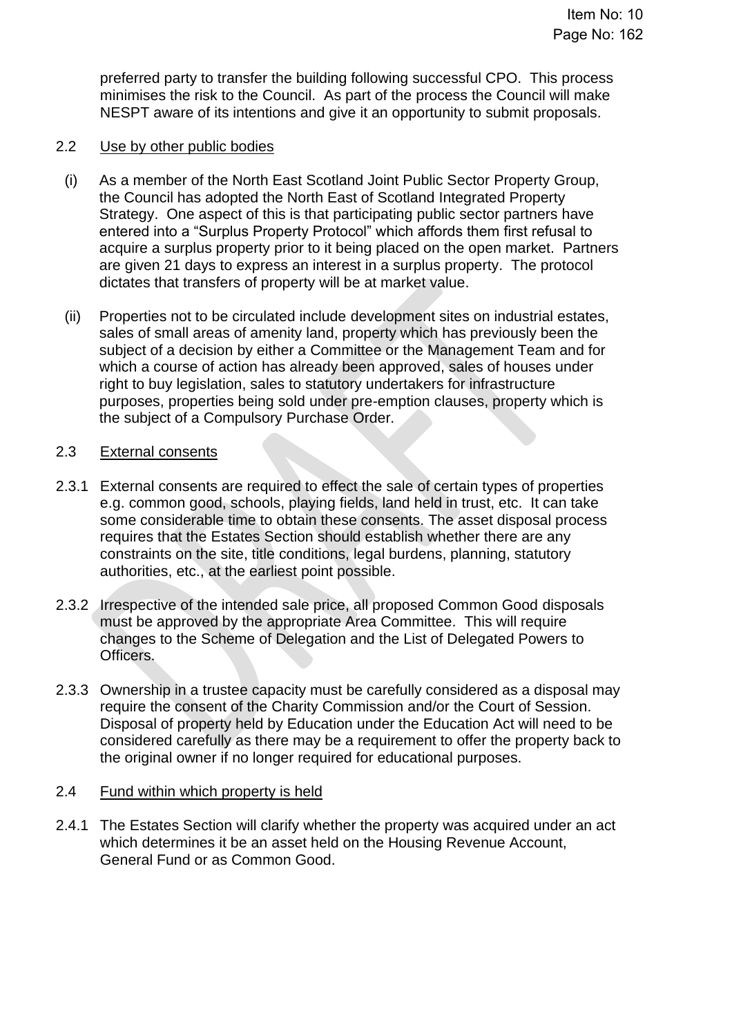preferred party to transfer the building following successful CPO. This process minimises the risk to the Council. As part of the process the Council will make NESPT aware of its intentions and give it an opportunity to submit proposals.

### 2.2 Use by other public bodies

- (i) As a member of the North East Scotland Joint Public Sector Property Group, the Council has adopted the North East of Scotland Integrated Property Strategy. One aspect of this is that participating public sector partners have entered into a "Surplus Property Protocol" which affords them first refusal to acquire a surplus property prior to it being placed on the open market. Partners are given 21 days to express an interest in a surplus property. The protocol dictates that transfers of property will be at market value.
- (ii) Properties not to be circulated include development sites on industrial estates, sales of small areas of amenity land, property which has previously been the subject of a decision by either a Committee or the Management Team and for which a course of action has already been approved, sales of houses under right to buy legislation, sales to statutory undertakers for infrastructure purposes, properties being sold under pre-emption clauses, property which is the subject of a Compulsory Purchase Order.

## 2.3 External consents

- 2.3.1 External consents are required to effect the sale of certain types of properties e.g. common good, schools, playing fields, land held in trust, etc. It can take some considerable time to obtain these consents. The asset disposal process requires that the Estates Section should establish whether there are any constraints on the site, title conditions, legal burdens, planning, statutory authorities, etc., at the earliest point possible.
- 2.3.2 Irrespective of the intended sale price, all proposed Common Good disposals must be approved by the appropriate Area Committee. This will require changes to the Scheme of Delegation and the List of Delegated Powers to Officers.
- 2.3.3 Ownership in a trustee capacity must be carefully considered as a disposal may require the consent of the Charity Commission and/or the Court of Session. Disposal of property held by Education under the Education Act will need to be considered carefully as there may be a requirement to offer the property back to the original owner if no longer required for educational purposes.

## 2.4 Fund within which property is held

2.4.1 The Estates Section will clarify whether the property was acquired under an act which determines it be an asset held on the Housing Revenue Account, General Fund or as Common Good.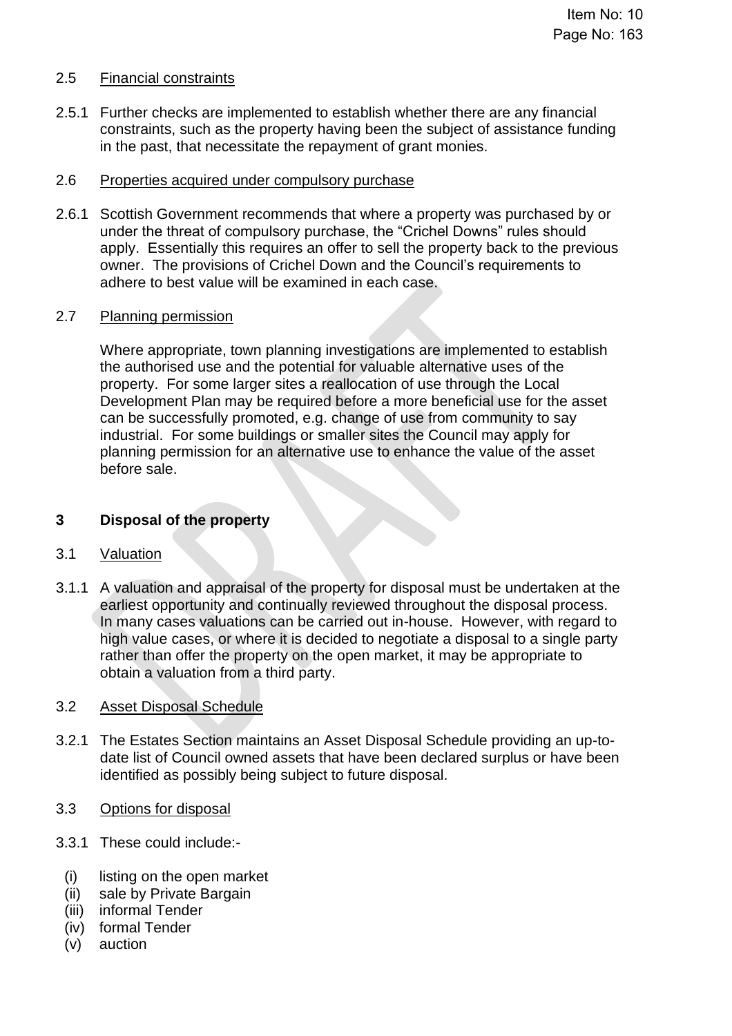## 2.5 Financial constraints

2.5.1 Further checks are implemented to establish whether there are any financial constraints, such as the property having been the subject of assistance funding in the past, that necessitate the repayment of grant monies.

### 2.6 Properties acquired under compulsory purchase

2.6.1 Scottish Government recommends that where a property was purchased by or under the threat of compulsory purchase, the "Crichel Downs" rules should apply. Essentially this requires an offer to sell the property back to the previous owner. The provisions of Crichel Down and the Council's requirements to adhere to best value will be examined in each case.

## 2.7 Planning permission

Where appropriate, town planning investigations are implemented to establish the authorised use and the potential for valuable alternative uses of the property. For some larger sites a reallocation of use through the Local Development Plan may be required before a more beneficial use for the asset can be successfully promoted, e.g. change of use from community to say industrial. For some buildings or smaller sites the Council may apply for planning permission for an alternative use to enhance the value of the asset before sale.

## **3 Disposal of the property**

#### 3.1 Valuation

3.1.1 A valuation and appraisal of the property for disposal must be undertaken at the earliest opportunity and continually reviewed throughout the disposal process. In many cases valuations can be carried out in-house. However, with regard to high value cases, or where it is decided to negotiate a disposal to a single party rather than offer the property on the open market, it may be appropriate to obtain a valuation from a third party.

## 3.2 Asset Disposal Schedule

- 3.2.1 The Estates Section maintains an Asset Disposal Schedule providing an up-todate list of Council owned assets that have been declared surplus or have been identified as possibly being subject to future disposal.
- 3.3 Options for disposal
- 3.3.1 These could include:-
	- (i) listing on the open market
	- (ii) sale by Private Bargain
	- (iii) informal Tender
	- (iv) formal Tender
	- (v) auction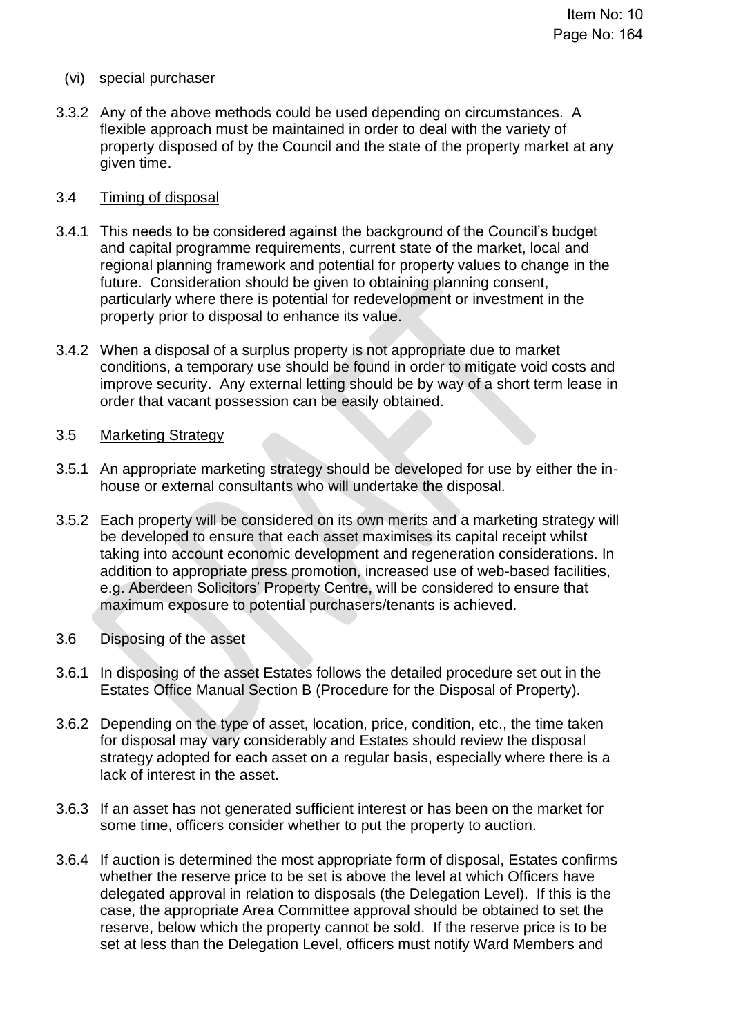- (vi) special purchaser
- 3.3.2 Any of the above methods could be used depending on circumstances. A flexible approach must be maintained in order to deal with the variety of property disposed of by the Council and the state of the property market at any given time.

#### 3.4 Timing of disposal

- 3.4.1 This needs to be considered against the background of the Council's budget and capital programme requirements, current state of the market, local and regional planning framework and potential for property values to change in the future. Consideration should be given to obtaining planning consent, particularly where there is potential for redevelopment or investment in the property prior to disposal to enhance its value.
- 3.4.2 When a disposal of a surplus property is not appropriate due to market conditions, a temporary use should be found in order to mitigate void costs and improve security. Any external letting should be by way of a short term lease in order that vacant possession can be easily obtained.

#### 3.5 Marketing Strategy

- 3.5.1 An appropriate marketing strategy should be developed for use by either the inhouse or external consultants who will undertake the disposal.
- 3.5.2 Each property will be considered on its own merits and a marketing strategy will be developed to ensure that each asset maximises its capital receipt whilst taking into account economic development and regeneration considerations. In addition to appropriate press promotion, increased use of web-based facilities, e.g. Aberdeen Solicitors' Property Centre, will be considered to ensure that maximum exposure to potential purchasers/tenants is achieved.

#### 3.6 Disposing of the asset

- 3.6.1 In disposing of the asset Estates follows the detailed procedure set out in the Estates Office Manual Section B (Procedure for the Disposal of Property).
- 3.6.2 Depending on the type of asset, location, price, condition, etc., the time taken for disposal may vary considerably and Estates should review the disposal strategy adopted for each asset on a regular basis, especially where there is a lack of interest in the asset.
- 3.6.3 If an asset has not generated sufficient interest or has been on the market for some time, officers consider whether to put the property to auction.
- 3.6.4 If auction is determined the most appropriate form of disposal, Estates confirms whether the reserve price to be set is above the level at which Officers have delegated approval in relation to disposals (the Delegation Level). If this is the case, the appropriate Area Committee approval should be obtained to set the reserve, below which the property cannot be sold. If the reserve price is to be set at less than the Delegation Level, officers must notify Ward Members and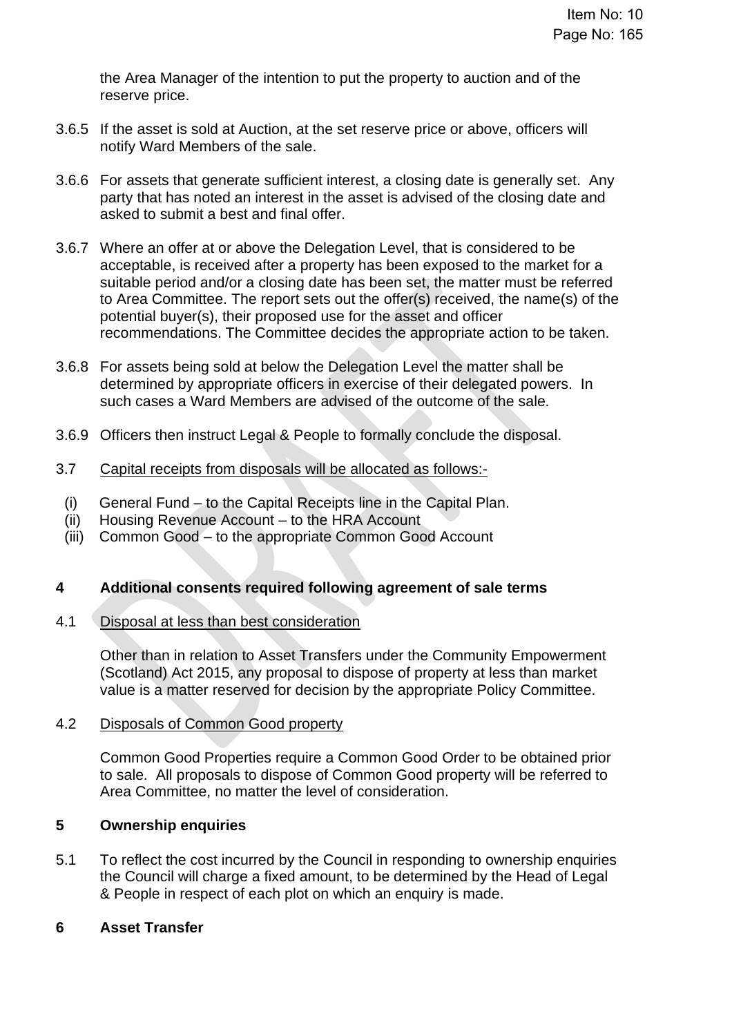the Area Manager of the intention to put the property to auction and of the reserve price.

- 3.6.5 If the asset is sold at Auction, at the set reserve price or above, officers will notify Ward Members of the sale.
- 3.6.6 For assets that generate sufficient interest, a closing date is generally set. Any party that has noted an interest in the asset is advised of the closing date and asked to submit a best and final offer.
- 3.6.7 Where an offer at or above the Delegation Level, that is considered to be acceptable, is received after a property has been exposed to the market for a suitable period and/or a closing date has been set, the matter must be referred to Area Committee. The report sets out the offer(s) received, the name(s) of the potential buyer(s), their proposed use for the asset and officer recommendations. The Committee decides the appropriate action to be taken.
- 3.6.8 For assets being sold at below the Delegation Level the matter shall be determined by appropriate officers in exercise of their delegated powers. In such cases a Ward Members are advised of the outcome of the sale.
- 3.6.9 Officers then instruct Legal & People to formally conclude the disposal.
- 3.7 Capital receipts from disposals will be allocated as follows:-
- (i) General Fund to the Capital Receipts line in the Capital Plan.
- (ii) Housing Revenue Account to the HRA Account
- (iii) Common Good to the appropriate Common Good Account

## **4 Additional consents required following agreement of sale terms**

#### 4.1 Disposal at less than best consideration

Other than in relation to Asset Transfers under the Community Empowerment (Scotland) Act 2015, any proposal to dispose of property at less than market value is a matter reserved for decision by the appropriate Policy Committee.

#### 4.2 Disposals of Common Good property

Common Good Properties require a Common Good Order to be obtained prior to sale. All proposals to dispose of Common Good property will be referred to Area Committee, no matter the level of consideration.

#### **5 Ownership enquiries**

5.1 To reflect the cost incurred by the Council in responding to ownership enquiries the Council will charge a fixed amount, to be determined by the Head of Legal & People in respect of each plot on which an enquiry is made.

#### **6 Asset Transfer**